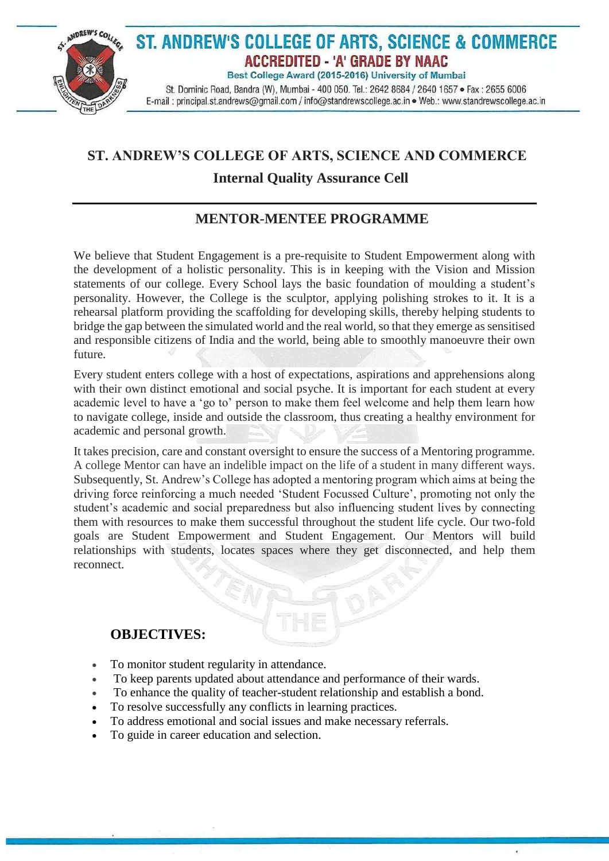

## **ST. ANDREW'S COLLEGE OF ARTS, SCIENCE AND COMMERCE**

## **Internal Quality Assurance Cell**

## **MENTOR-MENTEE PROGRAMME**

We believe that Student Engagement is a pre-requisite to Student Empowerment along with the development of a holistic personality. This is in keeping with the Vision and Mission statements of our college. Every School lays the basic foundation of moulding a student's personality. However, the College is the sculptor, applying polishing strokes to it. It is a rehearsal platform providing the scaffolding for developing skills, thereby helping students to bridge the gap between the simulated world and the real world, so that they emerge as sensitised and responsible citizens of India and the world, being able to smoothly manoeuvre their own future.

Every student enters college with a host of expectations, aspirations and apprehensions along with their own distinct emotional and social psyche. It is important for each student at every academic level to have a 'go to' person to make them feel welcome and help them learn how to navigate college, inside and outside the classroom, thus creating a healthy environment for academic and personal growth.

It takes precision, care and constant oversight to ensure the success of a Mentoring programme. A college Mentor can have an indelible impact on the life of a student in many different ways. Subsequently, St. Andrew's College has adopted a mentoring program which aims at being the driving force reinforcing a much needed 'Student Focussed Culture', promoting not only the student's academic and social preparedness but also influencing student lives by connecting them with resources to make them successful throughout the student life cycle. Our two-fold goals are Student Empowerment and Student Engagement. Our Mentors will build relationships with students, locates spaces where they get disconnected, and help them reconnect.

## **OBJECTIVES:**

- To monitor student regularity in attendance.
- To keep parents updated about attendance and performance of their wards.
- To enhance the quality of teacher-student relationship and establish a bond.

ú

- To resolve successfully any conflicts in learning practices.
- To address emotional and social issues and make necessary referrals.
- To guide in career education and selection.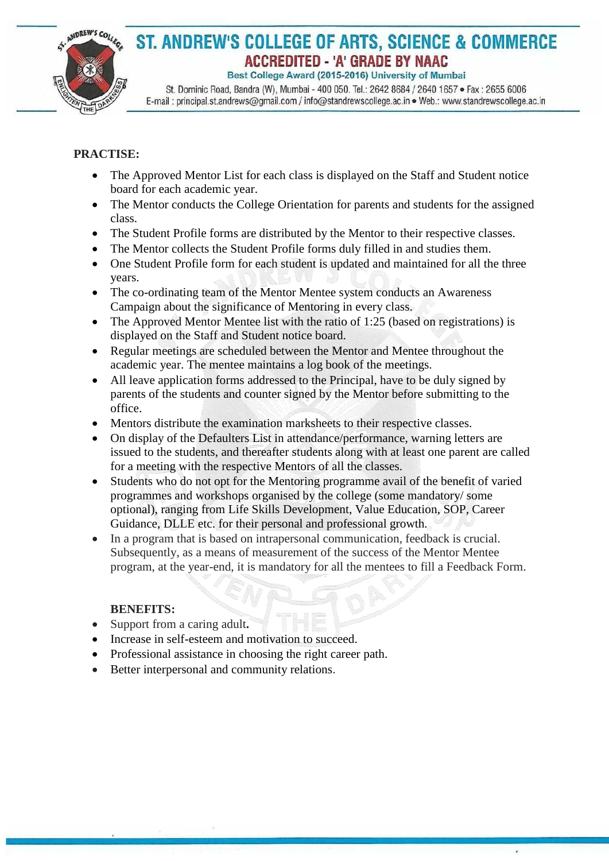

# ST. ANDREW'S COLLEGE OF ARTS, SCIENCE & COMMERCE **ACCREDITED - 'A' GRADE BY NAAC**

Best College Award (2015-2016) University of Mumbai

St. Dominic Road, Bandra (W), Mumbai - 400 050. Tel.: 2642 8684 / 2640 1657 · Fax: 2655 6006 E-mail: principal.st.andrews@gmail.com / info@standrewscollege.ac.in . Web.: www.standrewscollege.ac.in

#### **PRACTISE:**

- The Approved Mentor List for each class is displayed on the Staff and Student notice board for each academic year.
- The Mentor conducts the College Orientation for parents and students for the assigned class.
- The Student Profile forms are distributed by the Mentor to their respective classes.
- The Mentor collects the Student Profile forms duly filled in and studies them.
- One Student Profile form for each student is updated and maintained for all the three years.
- The co-ordinating team of the Mentor Mentee system conducts an Awareness Campaign about the significance of Mentoring in every class.
- The Approved Mentor Mentee list with the ratio of 1:25 (based on registrations) is displayed on the Staff and Student notice board.
- Regular meetings are scheduled between the Mentor and Mentee throughout the academic year. The mentee maintains a log book of the meetings.
- All leave application forms addressed to the Principal, have to be duly signed by parents of the students and counter signed by the Mentor before submitting to the office.
- Mentors distribute the examination marksheets to their respective classes.
- On display of the Defaulters List in attendance/performance, warning letters are issued to the students, and thereafter students along with at least one parent are called for a meeting with the respective Mentors of all the classes.
- Students who do not opt for the Mentoring programme avail of the benefit of varied programmes and workshops organised by the college (some mandatory/ some optional), ranging from Life Skills Development, Value Education, SOP, Career Guidance, DLLE etc. for their personal and professional growth.
- In a program that is based on intrapersonal communication, feedback is crucial. Subsequently, as a means of measurement of the success of the Mentor Mentee program, at the year-end, it is mandatory for all the mentees to fill a Feedback Form.

 $\lambda$ 

#### **BENEFITS:**

- Support from a caring adult**.**
- Increase in self-esteem and motivation to succeed.
- Professional assistance in choosing the right career path.
- Better interpersonal and community relations.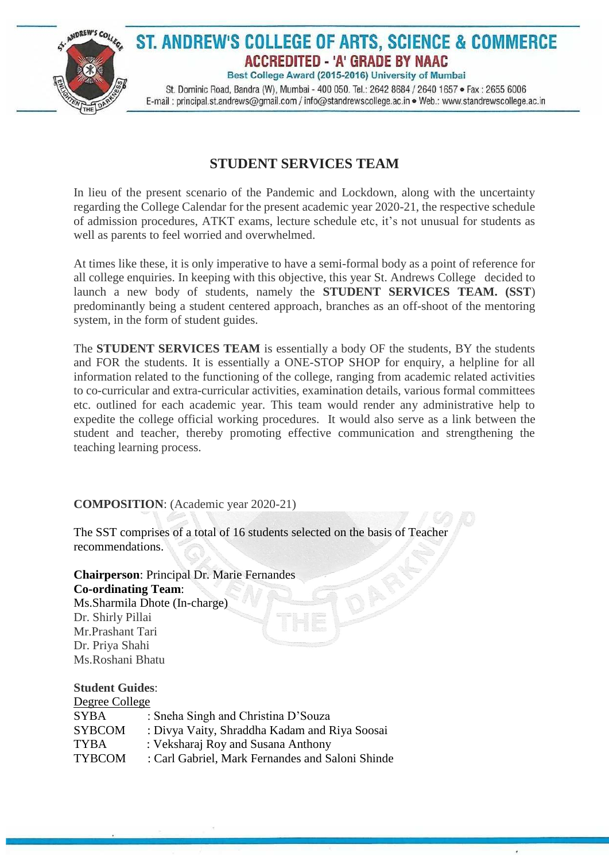

## **STUDENT SERVICES TEAM**

In lieu of the present scenario of the Pandemic and Lockdown, along with the uncertainty regarding the College Calendar for the present academic year 2020-21, the respective schedule of admission procedures, ATKT exams, lecture schedule etc, it's not unusual for students as well as parents to feel worried and overwhelmed.

At times like these, it is only imperative to have a semi-formal body as a point of reference for all college enquiries. In keeping with this objective, this year St. Andrews College decided to launch a new body of students, namely the **STUDENT SERVICES TEAM. (SST**) predominantly being a student centered approach, branches as an off-shoot of the mentoring system, in the form of student guides.

The **STUDENT SERVICES TEAM** is essentially a body OF the students, BY the students and FOR the students. It is essentially a ONE-STOP SHOP for enquiry, a helpline for all information related to the functioning of the college, ranging from academic related activities to co-curricular and extra-curricular activities, examination details, various formal committees etc. outlined for each academic year. This team would render any administrative help to expedite the college official working procedures. It would also serve as a link between the student and teacher, thereby promoting effective communication and strengthening the teaching learning process.

ú

#### **COMPOSITION**: (Academic year 2020-21)

The SST comprises of a total of 16 students selected on the basis of Teacher recommendations.

**Chairperson**: Principal Dr. Marie Fernandes **Co-ordinating Team**: Ms.Sharmila Dhote (In-charge) Dr. Shirly Pillai Mr.Prashant Tari Dr. Priya Shahi

# Ms.Roshani Bhatu

#### **Student Guides**:

| Degree College |                                                  |  |
|----------------|--------------------------------------------------|--|
| <b>SYBA</b>    | : Sneha Singh and Christina D'Souza              |  |
| <b>SYBCOM</b>  | : Divya Vaity, Shraddha Kadam and Riya Soosai    |  |
| <b>TYBA</b>    | : Veksharaj Roy and Susana Anthony               |  |
| <b>TYBCOM</b>  | : Carl Gabriel, Mark Fernandes and Saloni Shinde |  |